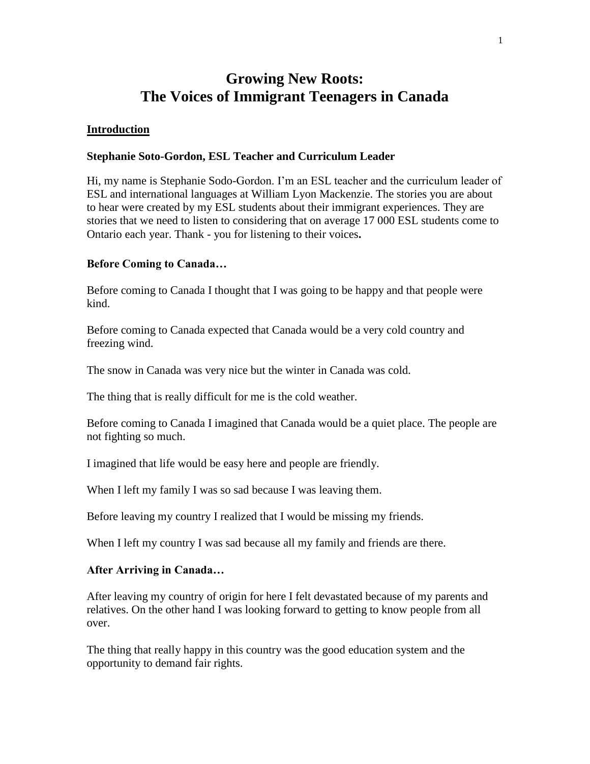## **Growing New Roots: The Voices of Immigrant Teenagers in Canada**

## **Introduction**

## **Stephanie Soto-Gordon, ESL Teacher and Curriculum Leader**

Hi, my name is Stephanie Sodo-Gordon. I'm an ESL teacher and the curriculum leader of ESL and international languages at William Lyon Mackenzie. The stories you are about to hear were created by my ESL students about their immigrant experiences. They are stories that we need to listen to considering that on average 17 000 ESL students come to Ontario each year. Thank - you for listening to their voices**.**

## **Before Coming to Canada…**

Before coming to Canada I thought that I was going to be happy and that people were kind.

Before coming to Canada expected that Canada would be a very cold country and freezing wind.

The snow in Canada was very nice but the winter in Canada was cold.

The thing that is really difficult for me is the cold weather.

Before coming to Canada I imagined that Canada would be a quiet place. The people are not fighting so much.

I imagined that life would be easy here and people are friendly.

When I left my family I was so sad because I was leaving them.

Before leaving my country I realized that I would be missing my friends.

When I left my country I was sad because all my family and friends are there.

## **After Arriving in Canada…**

After leaving my country of origin for here I felt devastated because of my parents and relatives. On the other hand I was looking forward to getting to know people from all over.

The thing that really happy in this country was the good education system and the opportunity to demand fair rights.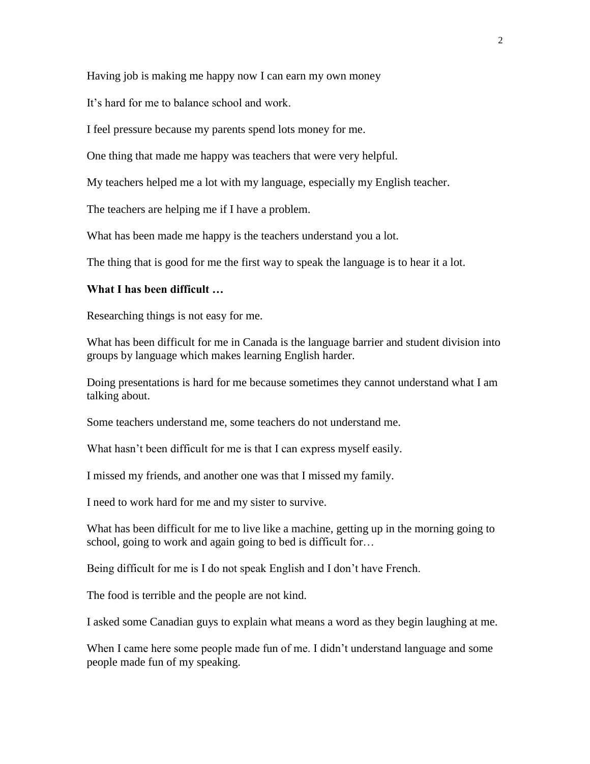Having job is making me happy now I can earn my own money

It's hard for me to balance school and work.

I feel pressure because my parents spend lots money for me.

One thing that made me happy was teachers that were very helpful.

My teachers helped me a lot with my language, especially my English teacher.

The teachers are helping me if I have a problem.

What has been made me happy is the teachers understand you a lot.

The thing that is good for me the first way to speak the language is to hear it a lot.

#### **What I has been difficult …**

Researching things is not easy for me.

What has been difficult for me in Canada is the language barrier and student division into groups by language which makes learning English harder.

Doing presentations is hard for me because sometimes they cannot understand what I am talking about.

Some teachers understand me, some teachers do not understand me.

What hasn't been difficult for me is that I can express myself easily.

I missed my friends, and another one was that I missed my family.

I need to work hard for me and my sister to survive.

What has been difficult for me to live like a machine, getting up in the morning going to school, going to work and again going to bed is difficult for…

Being difficult for me is I do not speak English and I don't have French.

The food is terrible and the people are not kind.

I asked some Canadian guys to explain what means a word as they begin laughing at me.

When I came here some people made fun of me. I didn't understand language and some people made fun of my speaking.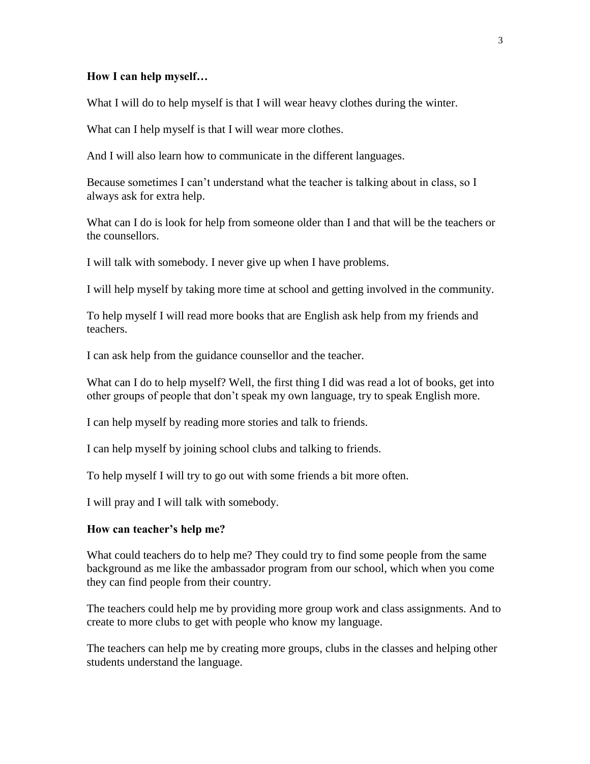## **How I can help myself…**

What I will do to help myself is that I will wear heavy clothes during the winter.

What can I help myself is that I will wear more clothes.

And I will also learn how to communicate in the different languages.

Because sometimes I can't understand what the teacher is talking about in class, so I always ask for extra help.

What can I do is look for help from someone older than I and that will be the teachers or the counsellors.

I will talk with somebody. I never give up when I have problems.

I will help myself by taking more time at school and getting involved in the community.

To help myself I will read more books that are English ask help from my friends and teachers.

I can ask help from the guidance counsellor and the teacher.

What can I do to help myself? Well, the first thing I did was read a lot of books, get into other groups of people that don't speak my own language, try to speak English more.

I can help myself by reading more stories and talk to friends.

I can help myself by joining school clubs and talking to friends.

To help myself I will try to go out with some friends a bit more often.

I will pray and I will talk with somebody.

#### **How can teacher's help me?**

What could teachers do to help me? They could try to find some people from the same background as me like the ambassador program from our school, which when you come they can find people from their country.

The teachers could help me by providing more group work and class assignments. And to create to more clubs to get with people who know my language.

The teachers can help me by creating more groups, clubs in the classes and helping other students understand the language.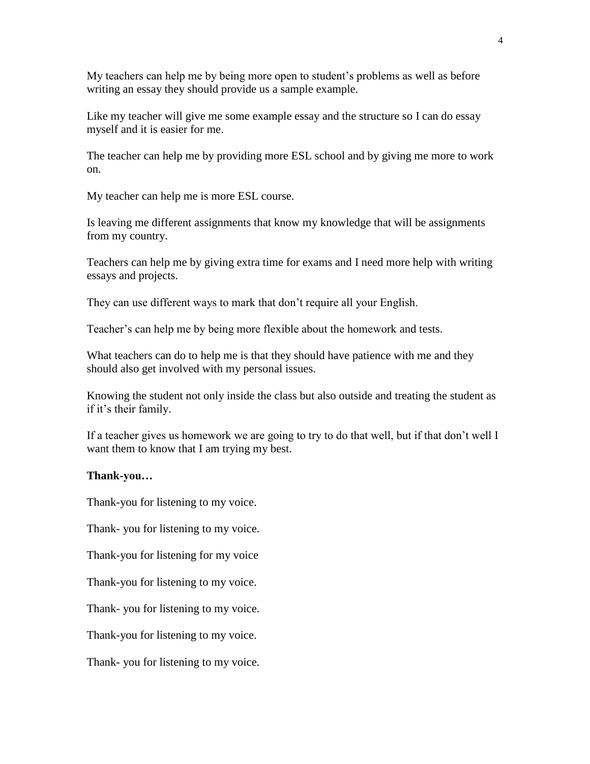My teachers can help me by being more open to student's problems as well as before writing an essay they should provide us a sample example.

Like my teacher will give me some example essay and the structure so I can do essay myself and it is easier for me.

The teacher can help me by providing more ESL school and by giving me more to work on.

My teacher can help me is more ESL course.

Is leaving me different assignments that know my knowledge that will be assignments from my country.

Teachers can help me by giving extra time for exams and I need more help with writing essays and projects.

They can use different ways to mark that don't require all your English.

Teacher's can help me by being more flexible about the homework and tests.

What teachers can do to help me is that they should have patience with me and they should also get involved with my personal issues.

Knowing the student not only inside the class but also outside and treating the student as if it's their family.

If a teacher gives us homework we are going to try to do that well, but if that don't well I want them to know that I am trying my best.

### **Thank-you…**

Thank-you for listening to my voice.

Thank- you for listening to my voice.

Thank-you for listening for my voice

Thank-you for listening to my voice.

Thank- you for listening to my voice.

Thank-you for listening to my voice.

Thank- you for listening to my voice.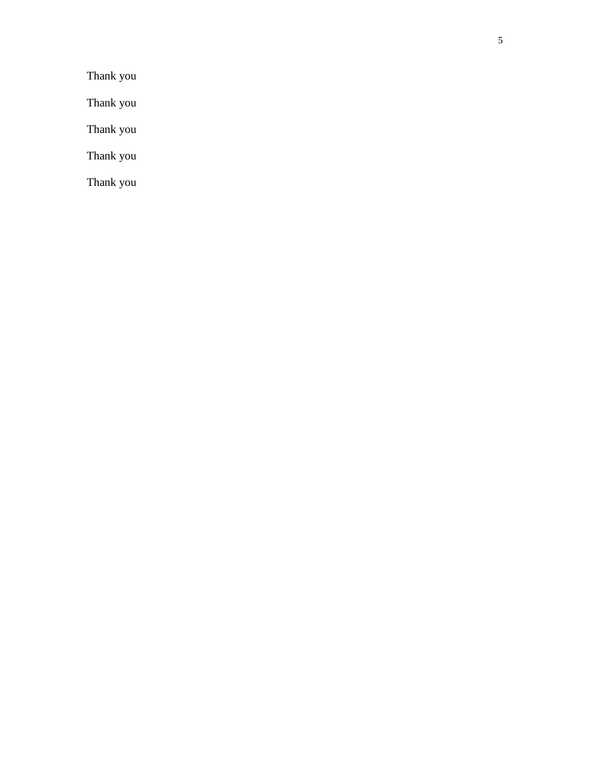Thank you

Thank you

Thank you

Thank you

Thank you